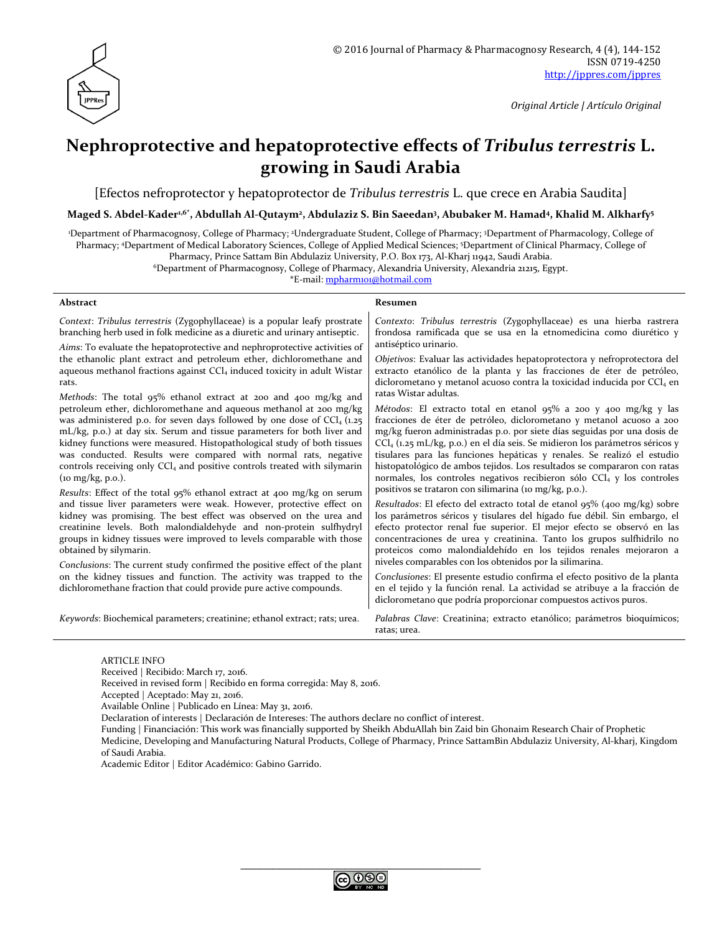

*Original Article | Artículo Original*

# **Nephroprotective and hepatoprotective effects of** *Tribulus terrestris* **L. growing in Saudi Arabia**

[Efectos nefroprotector y hepatoprotector de *Tribulus terrestris* L. que crece en Arabia Saudita]

**Maged S. Abdel-Kader1,6\* , Abdullah Al-Qutaym<sup>2</sup> , Abdulaziz S. Bin Saeedan<sup>3</sup> , Abubaker M. Hamad<sup>4</sup> , Khalid M. Alkharfy<sup>5</sup>**

'Department of Pharmacognosy, College of Pharmacy; <sup>2</sup>Undergraduate Student, College of Pharmacy; 3Department of Pharmacology, College of Pharmacy; <sup>4</sup>Department of Medical Laboratory Sciences, College of Applied Medical Sciences; <sup>5</sup>Department of Clinical Pharmacy, College of Pharmacy, Prince Sattam Bin Abdulaziz University, P.O. Box 173, Al-Kharj 11942, Saudi Arabia.

<sup>6</sup>Department of Pharmacognosy, College of Pharmacy, Alexandria University, Alexandria 21215, Egypt.

\*E-mail: [mpharm101@hotmail.com](mailto:mpharm101@hotmail.com)

#### **Abstract Resumen**

|                                                                                                                                                                       | Context: Tribulus terrestris (Zygophyllaceae) is a popular leafy prostrate<br>branching herb used in folk medicine as a diuretic and urinary antiseptic.<br>Aims: To evaluate the hepatoprotective and nephroprotective activities of<br>the ethanolic plant extract and petroleum ether, dichloromethane and<br>aqueous methanol fractions against $\text{CCI}_4$ induced toxicity in adult Wistar<br>rats.<br>Methods: The total $95\%$ ethanol extract at 200 and 400 mg/kg and<br>petroleum ether, dichloromethane and aqueous methanol at 200 mg/kg<br>was administered p.o. for seven days followed by one dose of $\text{Cl}_4$ (1.25)<br>mL/kg, p.o.) at day six. Serum and tissue parameters for both liver and<br>kidney functions were measured. Histopathological study of both tissues<br>was conducted. Results were compared with normal rats, negative<br>controls receiving only CCl <sub>4</sub> and positive controls treated with silymarin<br>$(10 \frac{mg}{kg}, p.0)$ .<br>Results: Effect of the total 95% ethanol extract at 400 mg/kg on serum<br>and tissue liver parameters were weak. However, protective effect on<br>kidney was promising. The best effect was observed on the urea and<br>creatinine levels. Both malondialdehyde and non-protein sulfhydryl<br>groups in kidney tissues were improved to levels comparable with those<br>obtained by silymarin.<br>Conclusions: The current study confirmed the positive effect of the plant<br>on the kidney tissues and function. The activity was trapped to the<br>dichloromethane fraction that could provide pure active compounds. | Contexto: Tribulus terrestris (Zygophyllaceae) es una hierba rastrera<br>frondosa ramificada que se usa en la etnomedicina como diurético y<br>antiséptico urinario.<br>Objetivos: Evaluar las actividades hepatoprotectora y nefroprotectora del<br>extracto etanólico de la planta y las fracciones de éter de petróleo,<br>diclorometano y metanol acuoso contra la toxicidad inducida por $\text{Cl}_4$ en<br>ratas Wistar adultas.<br>Métodos: El extracto total en etanol 95% a 200 y 400 mg/kg y las<br>fracciones de éter de petróleo, diclorometano y metanol acuoso a 200<br>mg/kg fueron administradas p.o. por siete días seguidas por una dosis de<br>CCl <sub>4</sub> (1.25 mL/kg, p.o.) en el día seis. Se midieron los parámetros séricos y<br>tisulares para las funciones hepáticas y renales. Se realizó el estudio<br>histopatológico de ambos tejidos. Los resultados se compararon con ratas<br>normales, los controles negativos recibieron sólo CCl <sub>4</sub> y los controles<br>positivos se trataron con silimarina (10 mg/kg, p.o.).<br><i>Resultados:</i> El efecto del extracto total de etanol $95\%$ (400 mg/kg) sobre<br>los parámetros séricos y tisulares del hígado fue débil. Sin embargo, el<br>efecto protector renal fue superior. El mejor efecto se observó en las<br>concentraciones de urea y creatinina. Tanto los grupos sulfhidrilo no<br>proteicos como malondialdehído en los tejidos renales mejoraron a<br>niveles comparables con los obtenidos por la silimarina.<br>Conclusiones: El presente estudio confirma el efecto positivo de la planta<br>en el tejido y la función renal. La actividad se atribuye a la fracción de |
|-----------------------------------------------------------------------------------------------------------------------------------------------------------------------|----------------------------------------------------------------------------------------------------------------------------------------------------------------------------------------------------------------------------------------------------------------------------------------------------------------------------------------------------------------------------------------------------------------------------------------------------------------------------------------------------------------------------------------------------------------------------------------------------------------------------------------------------------------------------------------------------------------------------------------------------------------------------------------------------------------------------------------------------------------------------------------------------------------------------------------------------------------------------------------------------------------------------------------------------------------------------------------------------------------------------------------------------------------------------------------------------------------------------------------------------------------------------------------------------------------------------------------------------------------------------------------------------------------------------------------------------------------------------------------------------------------------------------------------------------------------------------------------------------------------------|--------------------------------------------------------------------------------------------------------------------------------------------------------------------------------------------------------------------------------------------------------------------------------------------------------------------------------------------------------------------------------------------------------------------------------------------------------------------------------------------------------------------------------------------------------------------------------------------------------------------------------------------------------------------------------------------------------------------------------------------------------------------------------------------------------------------------------------------------------------------------------------------------------------------------------------------------------------------------------------------------------------------------------------------------------------------------------------------------------------------------------------------------------------------------------------------------------------------------------------------------------------------------------------------------------------------------------------------------------------------------------------------------------------------------------------------------------------------------------------------------------------------------------------------------------------------------------------------------------------------------------------------------------------------------------------|
| Keywords: Biochemical parameters; creatinine; ethanol extract; rats; urea.<br>Palabras Clave: Creatinina; extracto etanólico; parámetros bioquímicos;<br>ratas; urea. |                                                                                                                                                                                                                                                                                                                                                                                                                                                                                                                                                                                                                                                                                                                                                                                                                                                                                                                                                                                                                                                                                                                                                                                                                                                                                                                                                                                                                                                                                                                                                                                                                            | diclorometano que podría proporcionar compuestos activos puros.                                                                                                                                                                                                                                                                                                                                                                                                                                                                                                                                                                                                                                                                                                                                                                                                                                                                                                                                                                                                                                                                                                                                                                                                                                                                                                                                                                                                                                                                                                                                                                                                                      |

ARTICLE INFO Received | Recibido: March 17, 2016.

Received in revised form | Recibido en forma corregida: May 8, 2016.

Accepted | Aceptado: May 21, 2016.

Available Online | Publicado en Línea: May 31, 2016.

Declaration of interests | Declaración de Intereses: The authors declare no conflict of interest.

Funding | Financiación: This work was financially supported by Sheikh AbduAllah bin Zaid bin Ghonaim Research Chair of Prophetic

Medicine, Developing and Manufacturing Natural Products, College of Pharmacy, Prince SattamBin Abdulaziz University, Al-kharj, Kingdom of Saudi Arabia.

Academic Editor | Editor Académico: Gabino Garrido.

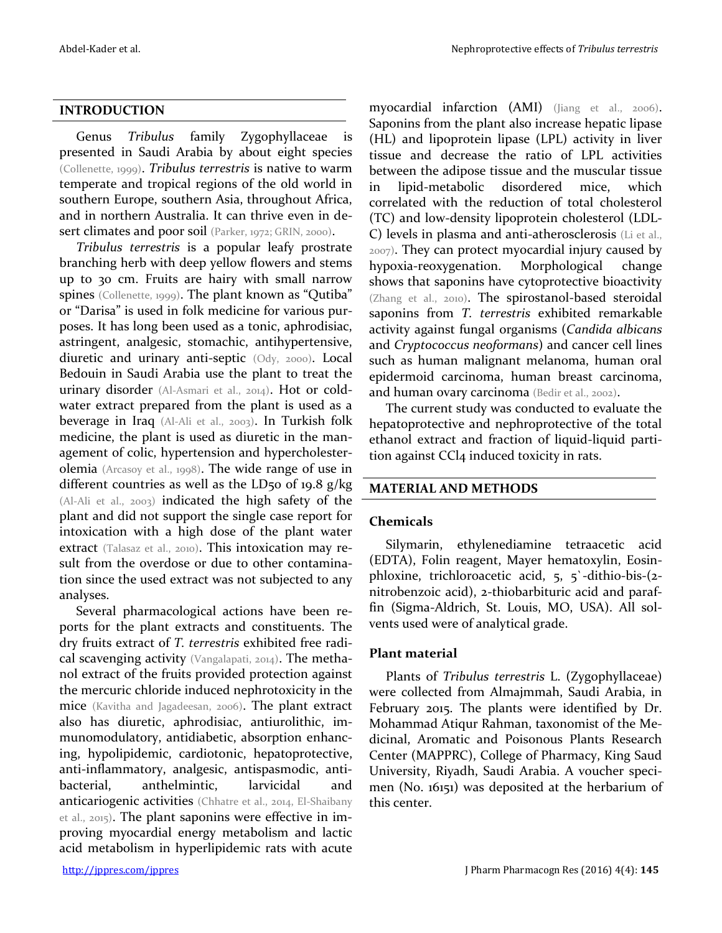#### **INTRODUCTION**

Genus *Tribulus* family Zygophyllaceae is presented in Saudi Arabia by about eight species (Collenette, 1999). *Tribulus terrestris* is native to warm temperate and tropical regions of the old world in southern Europe, southern Asia, throughout Africa, and in northern Australia. It can thrive even in desert climates and poor soil (Parker, 1972; GRIN, 2000).

*Tribulus terrestris* is a popular leafy prostrate branching herb with deep yellow flowers and stems up to 30 cm. Fruits are hairy with small narrow spines (Collenette, 1999). The plant known as "Qutiba" or "Darisa" is used in folk medicine for various purposes. It has long been used as a tonic, aphrodisiac, astringent, analgesic, stomachic, antihypertensive, diuretic and urinary anti-septic (Ody, 2000). Local Bedouin in Saudi Arabia use the plant to treat the urinary disorder (Al-Asmari et al., 2014). Hot or coldwater extract prepared from the plant is used as a beverage in Iraq (Al-Ali et al., 2003). In Turkish folk medicine, the plant is used as diuretic in the management of colic, hypertension and hypercholesterolemia (Arcasoy et al., 1998). The wide range of use in different countries as well as the LD50 of 19.8  $g/kg$ (Al-Ali et al., 2003) indicated the high safety of the plant and did not support the single case report for intoxication with a high dose of the plant water extract (Talasaz et al., 2010). This intoxication may result from the overdose or due to other contamination since the used extract was not subjected to any analyses.

Several pharmacological actions have been reports for the plant extracts and constituents. The dry fruits extract of *T. terrestris* exhibited free radical scavenging activity (Vangalapati, 2014). The methanol extract of the fruits provided protection against the mercuric chloride induced nephrotoxicity in the mice (Kavitha and Jagadeesan, 2006). The plant extract also has diuretic, aphrodisiac, antiurolithic, immunomodulatory, antidiabetic, absorption enhancing, hypolipidemic, cardiotonic, hepatoprotective, anti-inflammatory, analgesic, antispasmodic, antibacterial, anthelmintic, larvicidal and anticariogenic activities (Chhatre et al., 2014, El-Shaibany et al., 2015). The plant saponins were effective in improving myocardial energy metabolism and lactic acid metabolism in hyperlipidemic rats with acute myocardial infarction (AMI) (Jiang et al., 2006). Saponins from the plant also increase hepatic lipase (HL) and lipoprotein lipase (LPL) activity in liver tissue and decrease the ratio of LPL activities between the adipose tissue and the muscular tissue in lipid-metabolic disordered mice, which correlated with the reduction of total cholesterol (TC) and low-density lipoprotein cholesterol (LDL-C) levels in plasma and anti-atherosclerosis (Li et al., 2007). They can protect myocardial injury caused by hypoxia-reoxygenation. Morphological change shows that saponins have cytoprotective bioactivity (Zhang et al., 2010). The spirostanol-based steroidal saponins from *T. terrestris* exhibited remarkable activity against fungal organisms (*Candida albicans* and *Cryptococcus neoformans*) and cancer cell lines such as human malignant melanoma, human oral epidermoid carcinoma, human breast carcinoma, and human ovary carcinoma (Bedir et al., 2002).

The current study was conducted to evaluate the hepatoprotective and nephroprotective of the total ethanol extract and fraction of liquid-liquid partition against CCl4 induced toxicity in rats.

### **MATERIAL AND METHODS**

#### **Chemicals**

Silymarin, ethylenediamine tetraacetic acid (EDTA), Folin reagent, Mayer hematoxylin, Eosinphloxine, trichloroacetic acid, 5, 5`-dithio-bis-(2 nitrobenzoic acid), 2-thiobarbituric acid and paraffin (Sigma-Aldrich, St. Louis, MO, USA). All solvents used were of analytical grade.

#### **Plant material**

Plants of *Tribulus terrestris* L. (Zygophyllaceae) were collected from Almajmmah, Saudi Arabia, in February 2015. The plants were identified by Dr. Mohammad Atiqur Rahman, taxonomist of the Medicinal, Aromatic and Poisonous Plants Research Center (MAPPRC), College of Pharmacy, King Saud University, Riyadh, Saudi Arabia. A voucher specimen (No. 16151) was deposited at the herbarium of this center.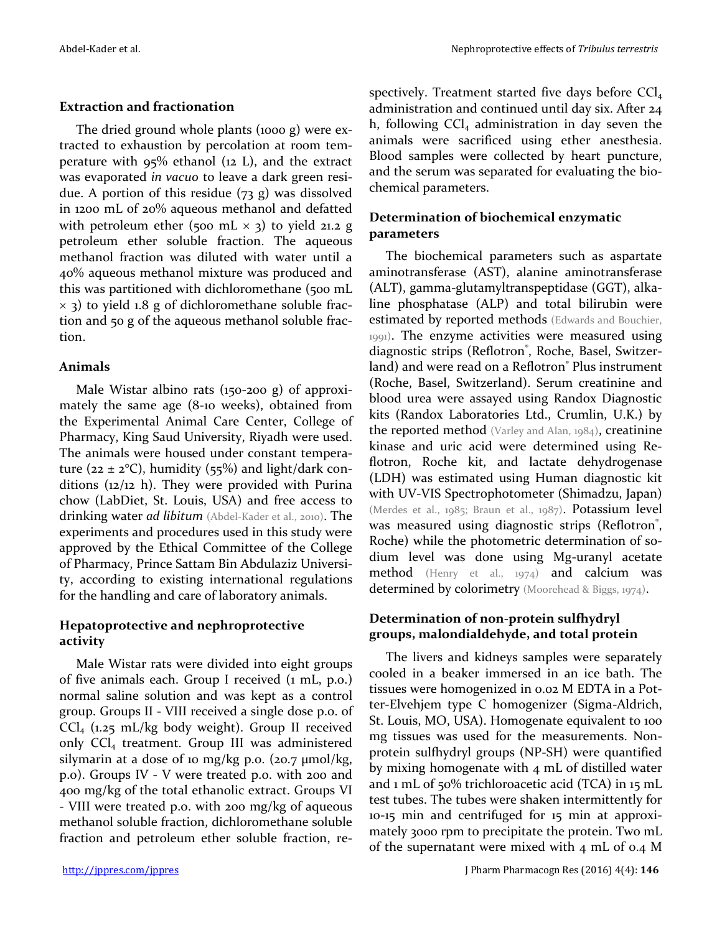### **Extraction and fractionation**

The dried ground whole plants (1000 g) were extracted to exhaustion by percolation at room temperature with 95% ethanol (12 L), and the extract was evaporated *in vacuo* to leave a dark green residue. A portion of this residue (73 g) was dissolved in 1200 mL of 20% aqueous methanol and defatted with petroleum ether (500 mL  $\times$  3) to yield 21.2 g petroleum ether soluble fraction. The aqueous methanol fraction was diluted with water until a 40% aqueous methanol mixture was produced and this was partitioned with dichloromethane (500 mL  $\times$  3) to yield 1.8 g of dichloromethane soluble fraction and 50 g of the aqueous methanol soluble fraction.

# **Animals**

Male Wistar albino rats (150-200 g) of approximately the same age (8-10 weeks), obtained from the Experimental Animal Care Center, College of Pharmacy, King Saud University, Riyadh were used. The animals were housed under constant temperature ( $22 \pm 2$ °C), humidity ( $55\%$ ) and light/dark conditions (12/12 h). They were provided with Purina chow (LabDiet, St. Louis, USA) and free access to drinking water *ad libitum* (Abdel-Kader et al., 2010). The experiments and procedures used in this study were approved by the Ethical Committee of the College of Pharmacy, Prince Sattam Bin Abdulaziz University, according to existing international regulations for the handling and care of laboratory animals.

# **Hepatoprotective and nephroprotective activity**

Male Wistar rats were divided into eight groups of five animals each. Group I received (1 mL, p.o.) normal saline solution and was kept as a control group. Groups II - VIII received a single dose p.o. of  $CCl<sub>4</sub>$  (1.25 mL/kg body weight). Group II received only CCl<sup>4</sup> treatment. Group III was administered silymarin at a dose of 10 mg/kg p.o. (20.7  $\mu$ mol/kg, p.o). Groups IV - V were treated p.o. with 200 and 400 mg/kg of the total ethanolic extract. Groups VI - VIII were treated p.o. with 200 mg/kg of aqueous methanol soluble fraction, dichloromethane soluble fraction and petroleum ether soluble fraction, respectively. Treatment started five days before  $\text{Cl}_4$ administration and continued until day six. After 24 h, following  $\text{Cl}_4$  administration in day seven the animals were sacrificed using ether anesthesia. Blood samples were collected by heart puncture, and the serum was separated for evaluating the biochemical parameters.

# **Determination of biochemical enzymatic parameters**

The biochemical parameters such as aspartate aminotransferase (AST), alanine aminotransferase (ALT), gamma-glutamyltranspeptidase (GGT), alkaline phosphatase (ALP) and total bilirubin were estimated by reported methods (Edwards and Bouchier, 1991). The enzyme activities were measured using diagnostic strips (Reflotron<sup>®</sup>, Roche, Basel, Switzerland) and were read on a Reflotron<sup>®</sup> Plus instrument (Roche, Basel, Switzerland). Serum creatinine and blood urea were assayed using Randox Diagnostic kits (Randox Laboratories Ltd., Crumlin, U.K.) by the reported method (Varley and Alan, 1984), creatinine kinase and uric acid were determined using Reflotron, Roche kit, and lactate dehydrogenase (LDH) was estimated using Human diagnostic kit with UV-VIS Spectrophotometer (Shimadzu, Japan) (Merdes et al., 1985; Braun et al., 1987). Potassium level was measured using diagnostic strips (Reflotron<sup>®</sup>, Roche) while the photometric determination of sodium level was done using Mg-uranyl acetate method (Henry et al., 1974) and calcium was determined by colorimetry (Moorehead & Biggs, 1974).

### **Determination of non-protein sulfhydryl groups, malondialdehyde, and total protein**

The livers and kidneys samples were separately cooled in a beaker immersed in an ice bath. The tissues were homogenized in 0.02 M EDTA in a Potter-Elvehjem type C homogenizer (Sigma-Aldrich, St. Louis, MO, USA). Homogenate equivalent to 100 mg tissues was used for the measurements. Nonprotein sulfhydryl groups (NP-SH) were quantified by mixing homogenate with 4 mL of distilled water and 1 mL of 50% trichloroacetic acid (TCA) in 15 mL test tubes. The tubes were shaken intermittently for 10-15 min and centrifuged for 15 min at approximately 3000 rpm to precipitate the protein. Two mL of the supernatant were mixed with 4 mL of 0.4 M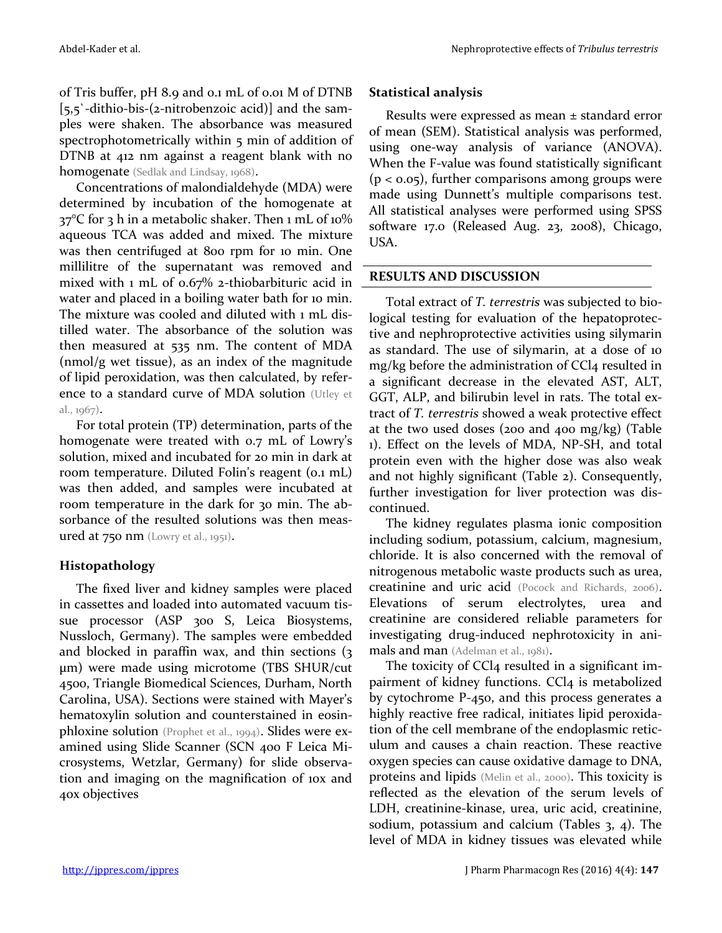of Tris buffer, pH 8.9 and 0.1 mL of 0.01 M of DTNB [5,5`-dithio-bis-(2-nitrobenzoic acid)] and the samples were shaken. The absorbance was measured spectrophotometrically within 5 min of addition of DTNB at 412 nm against a reagent blank with no homogenate (Sedlak and Lindsay, 1968).

Concentrations of malondialdehyde (MDA) were determined by incubation of the homogenate at  $37^{\circ}$ C for 3 h in a metabolic shaker. Then 1 mL of 10% aqueous TCA was added and mixed. The mixture was then centrifuged at 800 rpm for 10 min. One millilitre of the supernatant was removed and mixed with 1 mL of 0.67% 2-thiobarbituric acid in water and placed in a boiling water bath for 10 min. The mixture was cooled and diluted with 1 mL distilled water. The absorbance of the solution was then measured at 535 nm. The content of MDA (nmol/g wet tissue), as an index of the magnitude of lipid peroxidation, was then calculated, by reference to a standard curve of MDA solution (Utley et al., 1967).

For total protein (TP) determination, parts of the homogenate were treated with 0.7 mL of Lowry's solution, mixed and incubated for 20 min in dark at room temperature. Diluted Folin's reagent (0.1 mL) was then added, and samples were incubated at room temperature in the dark for 30 min. The absorbance of the resulted solutions was then measured at 750 nm (Lowry et al., 1951).

# **Histopathology**

The fixed liver and kidney samples were placed in cassettes and loaded into automated vacuum tissue processor (ASP 300 S, Leica Biosystems, Nussloch, Germany). The samples were embedded and blocked in paraffin wax, and thin sections (3 μm) were made using microtome (TBS SHUR/cut 4500, Triangle Biomedical Sciences, Durham, North Carolina, USA). Sections were stained with Mayer's hematoxylin solution and counterstained in eosinphloxine solution (Prophet et al., 1994). Slides were examined using Slide Scanner (SCN 400 F Leica Microsystems, Wetzlar, Germany) for slide observation and imaging on the magnification of 10x and 40x objectives

# **Statistical analysis**

Results were expressed as mean ± standard error of mean (SEM). Statistical analysis was performed, using one-way analysis of variance (ANOVA). When the F-value was found statistically significant  $(p < 0.05)$ , further comparisons among groups were made using Dunnett's multiple comparisons test. All statistical analyses were performed using SPSS software 17.0 (Released Aug. 23, 2008), Chicago, USA.

# **RESULTS AND DISCUSSION**

Total extract of *T. terrestris* was subjected to biological testing for evaluation of the hepatoprotective and nephroprotective activities using silymarin as standard. The use of silymarin, at a dose of 10 mg/kg before the administration of CCl4 resulted in a significant decrease in the elevated AST, ALT, GGT, ALP, and bilirubin level in rats. The total extract of *T. terrestris* showed a weak protective effect at the two used doses (200 and 400 mg/kg) (Table 1). Effect on the levels of MDA, NP-SH, and total protein even with the higher dose was also weak and not highly significant (Table 2). Consequently, further investigation for liver protection was discontinued.

The kidney regulates plasma ionic composition including sodium, potassium, calcium, magnesium, chloride. It is also concerned with the removal of nitrogenous metabolic waste products such as urea, creatinine and uric acid (Pocock and Richards, 2006). Elevations of serum electrolytes, urea and creatinine are considered reliable parameters for investigating drug-induced nephrotoxicity in animals and man (Adelman et al., 1981).

The toxicity of CCl<sub>4</sub> resulted in a significant impairment of kidney functions. CCl4 is metabolized by cytochrome P-450, and this process generates a highly reactive free radical, initiates lipid peroxidation of the cell membrane of the endoplasmic reticulum and causes a chain reaction. These reactive oxygen species can cause oxidative damage to DNA, proteins and lipids (Melin et al., 2000). This toxicity is reflected as the elevation of the serum levels of LDH, creatinine-kinase, urea, uric acid, creatinine, sodium, potassium and calcium (Tables 3, 4). The level of MDA in kidney tissues was elevated while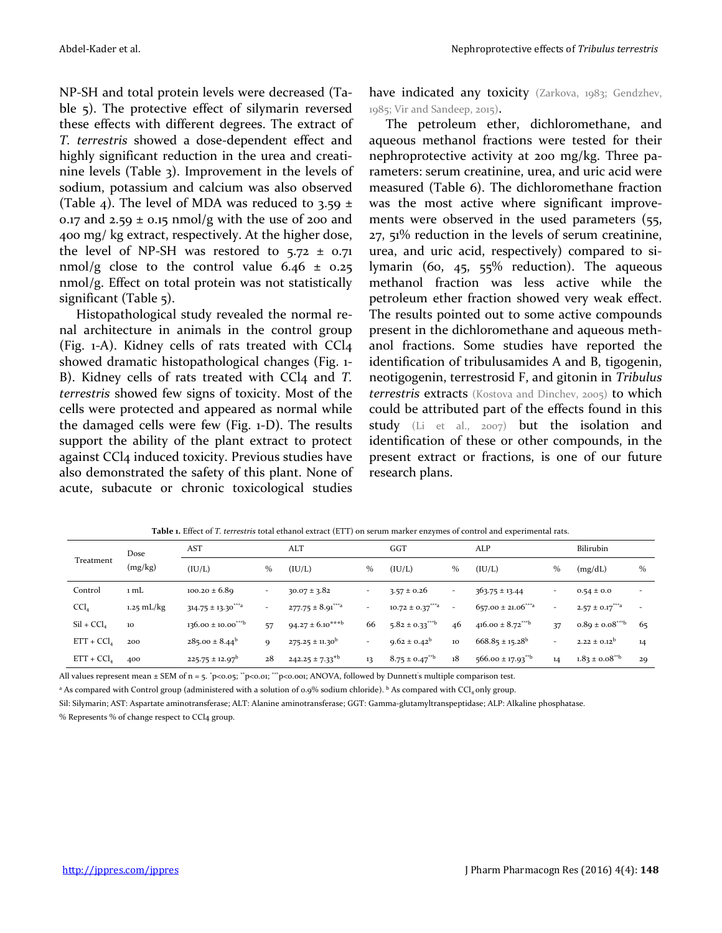NP-SH and total protein levels were decreased (Table 5). The protective effect of silymarin reversed these effects with different degrees. The extract of *T. terrestris* showed a dose-dependent effect and highly significant reduction in the urea and creatinine levels (Table 3). Improvement in the levels of sodium, potassium and calcium was also observed (Table 4). The level of MDA was reduced to 3.59  $\pm$ 0.17 and 2.59  $\pm$  0.15 nmol/g with the use of 200 and 400 mg/ kg extract, respectively. At the higher dose, the level of NP-SH was restored to  $5.72 \pm 0.71$ nmol/g close to the control value  $6.46 \pm 0.25$ nmol/g. Effect on total protein was not statistically significant (Table 5).

Histopathological study revealed the normal renal architecture in animals in the control group (Fig. 1-A). Kidney cells of rats treated with CCl4 showed dramatic histopathological changes (Fig. 1- B). Kidney cells of rats treated with CCl<sub>4</sub> and *T*. *terrestris* showed few signs of toxicity. Most of the cells were protected and appeared as normal while the damaged cells were few (Fig. 1-D). The results support the ability of the plant extract to protect against CCl4 induced toxicity. Previous studies have also demonstrated the safety of this plant. None of acute, subacute or chronic toxicological studies

have indicated any toxicity (Zarkova, 1983; Gendzhev, 1985; Vir and Sandeep, 2015).

The petroleum ether, dichloromethane, and aqueous methanol fractions were tested for their nephroprotective activity at 200 mg/kg. Three parameters: serum creatinine, urea, and uric acid were measured (Table 6). The dichloromethane fraction was the most active where significant improvements were observed in the used parameters (55, 27, 51% reduction in the levels of serum creatinine, urea, and uric acid, respectively) compared to silymarin (60, 45, 55% reduction). The aqueous methanol fraction was less active while the petroleum ether fraction showed very weak effect. The results pointed out to some active compounds present in the dichloromethane and aqueous methanol fractions. Some studies have reported the identification of tribulusamides A and B, tigogenin, neotigogenin, terrestrosid F, and gitonin in *Tribulus terrestris* extracts (Kostova and Dinchev, 2005) to which could be attributed part of the effects found in this study (Li et al., 2007) but the isolation and identification of these or other compounds, in the present extract or fractions, is one of our future research plans.

| Dose<br>Treatment<br>(mg/kg) |              | AST                      |                          | ALT                              |                          | GGT                              |                          | ALP                             |                          | Bilirubin                        |                          |
|------------------------------|--------------|--------------------------|--------------------------|----------------------------------|--------------------------|----------------------------------|--------------------------|---------------------------------|--------------------------|----------------------------------|--------------------------|
|                              |              | (IU/L)                   | $\%$                     | (IU/L)                           | $\%$                     | (IU/L)                           | $\%$                     | (IU/L)                          | $\%$                     | (mg/dL)                          | $\frac{0}{0}$            |
| Control                      | 1 mL         | $100.20 \pm 6.89$        | $\sim$                   | $30.07 \pm 3.82$                 | $\sim$                   | $3.57 \pm 0.26$                  | $\overline{\phantom{a}}$ | $363.75 \pm 13.44$              | $\overline{\phantom{a}}$ | $0.54 \pm 0.0$                   | $\overline{\phantom{a}}$ |
| CCl <sub>4</sub>             | $1.25$ mL/kg | $314.75 \pm 13.30$ ***a  | $\overline{\phantom{a}}$ | $277.75 \pm 8.91^{\ast\ast\ast}$ | $\overline{\phantom{a}}$ | $10.72 \pm 0.37$ <sup>***a</sup> | $\sim$                   | $657.00 \pm 21.06***$           | $\overline{\phantom{a}}$ | $2.57 \pm 0.17$ <sup>***</sup> a |                          |
| $SiI + CCl$                  | 10           | $136.00 \pm 10.00^{***}$ | 57                       | $94.27 \pm 6.10^{***b}$          | 66                       | $5.82 \pm 0.33^{***b}$           | 46                       | $416.00 \pm 8.72^{***b}$        | 37                       | $0.89 \pm 0.08***$               | 65                       |
| $ETT + CCI4$                 | 200          | $285.00 \pm 8.44^b$      | 9                        | $275.25 \pm 11.30^b$             | $\sim$                   | $9.62 \pm 0.42^b$                | $10\,$                   | $668.85 \pm 15.28$ <sup>b</sup> | $\sim$                   | $2.22 \pm 0.12^{b}$              | 14                       |
| $ETT + CCI$                  | 400          | $225.75 \pm 12.97^b$     | 28                       | $242.25 \pm 7.33^{*b}$           | 13                       | $8.75 \pm 0.47^{\ast\ast}$ b     | 18                       | $566.00 \pm 17.93^{*b}$         | 14                       | $1.83 \pm 0.08^{**}$             | 29                       |

**Table 1.** Effect of *T. terrestris* total ethanol extract (ETT) on serum marker enzymes of control and experimental rats.

All values represent mean ± SEM of n = 5. \*p<0.05; \*\*p<0.01; \*\*p<0.001; ANOVA, followed by Dunnett's multiple comparison test.

<sup>a</sup> As compared with Control group (administered with a solution of 0.9% sodium chloride). <sup>b</sup> As compared with CCl<sub>4</sub> only group.

Sil: Silymarin; AST: Aspartate aminotransferase; ALT: Alanine aminotransferase; GGT: Gamma-glutamyltranspeptidase; ALP: Alkaline phosphatase.

% Represents % of change respect to CCl4 group.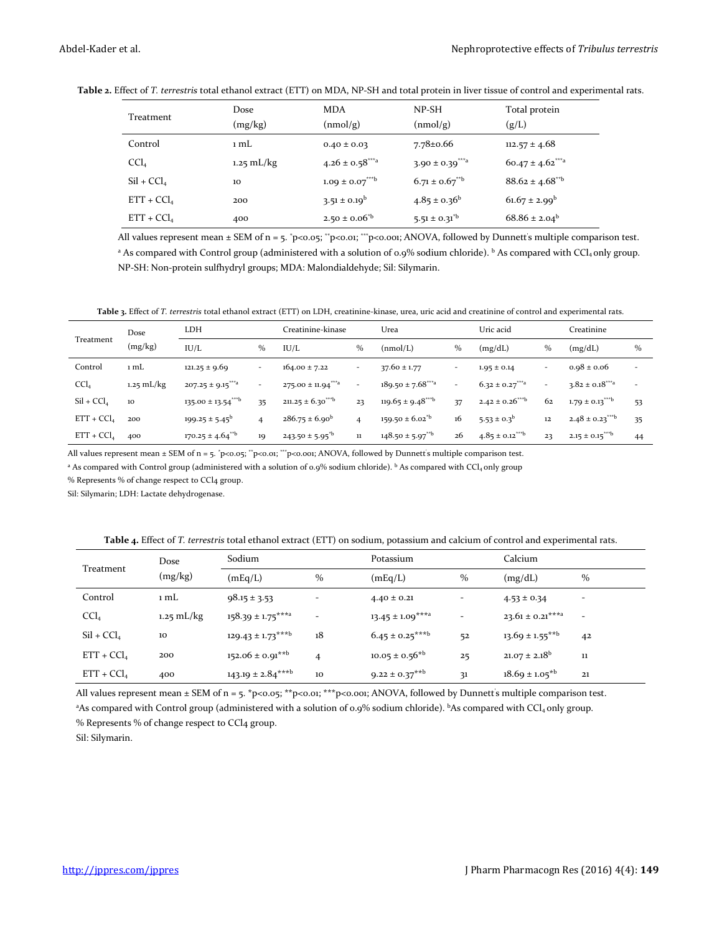| Table 2. Effect of T. terrestris total ethanol extract (ETT) on MDA, NP-SH and total protein in liver tissue of control and experimental rats. |  |  |  |
|------------------------------------------------------------------------------------------------------------------------------------------------|--|--|--|
|------------------------------------------------------------------------------------------------------------------------------------------------|--|--|--|

| Treatment        | Dose<br>(mg/kg) | <b>MDA</b><br>(mmol/g) | $NP-SH$<br>(mmol/g)             | Total protein<br>(g/L)          |
|------------------|-----------------|------------------------|---------------------------------|---------------------------------|
| Control          | 1 mL            | $0.40 \pm 0.03$        | $7.78 \pm 0.66$                 | $112.57 \pm 4.68$               |
| CCl <sub>4</sub> | $1.25$ mL/kg    | $4.26 \pm 0.58^{***a}$ | $3.90 \pm 0.39$ <sup>***a</sup> | $60.47 \pm 4.62^{\ast\ast\ast}$ |
| $SiI + CCl4$     | 10              | $1.09 \pm 0.07^{***b}$ | $6.71 \pm 0.67^{*b}$            | $88.62 \pm 4.68^{**}$           |
| $ETT + CCl4$     | 200             | $3.51 \pm 0.19^b$      | $4.85 \pm 0.36^b$               | $61.67 \pm 2.99^b$              |
| $ETT + CCl4$     | 400             | $2.50 \pm 0.06^{b}$    | $5.51 \pm 0.31^{\text{th}}$     | $68.86 \pm 2.04^b$              |

All values represent mean ± SEM of n = 5. \*p<0.05; \*\*p<0.01; \*\*p<0.001; ANOVA, followed by Dunnett's multiple comparison test. <sup>a</sup> As compared with Control group (administered with a solution of 0.9% sodium chloride). <sup>b</sup> As compared with CCl<sub>4</sub> only group. NP-SH: Non-protein sulfhydryl groups; MDA: Malondialdehyde; Sil: Silymarin.

**Table 3.** Effect of *T. terrestris* total ethanol extract (ETT) on LDH, creatinine-kinase, urea, uric acid and creatinine of control and experimental rats.

| Dose             |              | <b>LDH</b>                         |                          | Creatinine-kinase                  |                          | Urea                           |                          | Uric acid                       |                          | Creatinine             |                          |
|------------------|--------------|------------------------------------|--------------------------|------------------------------------|--------------------------|--------------------------------|--------------------------|---------------------------------|--------------------------|------------------------|--------------------------|
| Treatment        | (mg/kg)      | IU/L                               | $\%$                     | IU/L                               | $\%$                     | (mmol/L)                       | %                        | (mg/dL)                         | $\%$                     | (mg/dL)                | $\%$                     |
| Control          | 1 mL         | $121.25 \pm 9.69$                  | $\sim$                   | $164.00 \pm 7.22$                  | $\overline{\phantom{a}}$ | $37.60 \pm 1.77$               | $\overline{\phantom{a}}$ | $1.95 \pm 0.14$                 | $\overline{\phantom{0}}$ | $0.98 \pm 0.06$        | $\overline{\phantom{a}}$ |
| CCl <sub>4</sub> | $1.25$ mL/kg | $207.25 \pm 9.15$ <sup>***a</sup>  | $\overline{\phantom{a}}$ | $275.00 \pm 11.94$ <sup>***a</sup> | $\equiv$                 | $189.50 \pm 7.68***$           | $\overline{\phantom{a}}$ | $6.32 \pm 0.27***$              | $\sim$                   | $3.82 \pm 0.18***$     | $\overline{a}$           |
| $SiI + CCl4$     | 10           | $135.00 \pm 13.54$ <sup>***b</sup> | 35                       | $211.25 \pm 6.30^{***b}$           | 23                       | $119.65 \pm 9.48***b$          | 37                       | $2.42 \pm 0.26***$              | 62                       | $1.79 \pm 0.13^{***}$  | 53                       |
| $ETT + CCI$      | 200          | $199.25 \pm 5.45^{\circ}$          | 4                        | $286.75 \pm 6.90^b$                | $\overline{4}$           | $159.50 \pm 6.02^{\text{th}}$  | 16                       | $5.53 \pm 0.3^b$                | 12                       | $2.48 \pm 0.23^{***b}$ | 35                       |
| $ETT + CCI$      | 400          | $170.25 \pm 4.64^{**b}$            | 19                       | $243.50 \pm 5.95^{\text{th}}$      | $11\,$                   | $148.50 \pm 5.97^{\text{**b}}$ | 26                       | $4.85 \pm 0.12$ <sup>***b</sup> | 23                       | $2.15 \pm 0.15^{***b}$ | 44                       |

All values represent mean ± SEM of n = 5. \*p<0.05; \*\*p<0.00; \*\*p<0.001; ANOVA, followed by Dunnett's multiple comparison test.

a As compared with Control group (administered with a solution of 0.9% sodium chloride). **b** As compared with CCl<sub>4</sub> only group

% Represents % of change respect to CCl4 group.

Sil: Silymarin; LDH: Lactate dehydrogenase.

|  |  |  | Table 4. Effect of T. terrestris total ethanol extract (ETT) on sodium, potassium and calcium of control and experimental rats. |  |  |
|--|--|--|---------------------------------------------------------------------------------------------------------------------------------|--|--|
|  |  |  |                                                                                                                                 |  |  |

|                  | Dose         | Sodium                 |                | Potassium                      |                          | Calcium               |        |
|------------------|--------------|------------------------|----------------|--------------------------------|--------------------------|-----------------------|--------|
| Treatment        | (mg/kg)      | (mEq/L)                | $\%$           | (mEq/L)                        | $\%$                     | (mg/dL)               | $\%$   |
| Control          | 1 mL         | $98.15 \pm 3.53$       |                | $4.40 \pm 0.21$                | $\overline{\phantom{0}}$ | $4.53 \pm 0.34$       |        |
| CCl <sub>4</sub> | $1.25$ mL/kg | $158.39 \pm 1.75***$   |                | $13.45 \pm 1.09$ ***a          | $\overline{\phantom{0}}$ | $23.61 \pm 0.21$ ***a | $\sim$ |
| $SiI + CCl4$     | 10           | $129.43 \pm 1.73$ ***b | 18             | $6.45 \pm 0.25***$             | 52                       | $13.69 \pm 1.55***$   | 42     |
| $ETT + CCl4$     | 200          | $152.06 \pm 0.91***$   | $\overline{4}$ | $10.05 \pm 0.56$ <sup>*b</sup> | 25                       | $21.07 \pm 2.18^b$    | 11     |
| $ETT + CCl4$     | 400          | $143.19 \pm 2.84***$   | 10             | $9.22 \pm 0.37$ <sup>**b</sup> | 31                       | $18.69 \pm 1.05^{*b}$ | 21     |

All values represent mean ± SEM of n = 5. \*p<0.05; \*\*p<0.01; \*\*\*p<0.001; ANOVA, followed by Dunnett' s multiple comparison test.

<sup>a</sup>As compared with Control group (administered with a solution of 0.9% sodium chloride). <sup>b</sup>As compared with CCl<sub>4</sub> only group. % Represents % of change respect to CCl4 group.

Sil: Silymarin.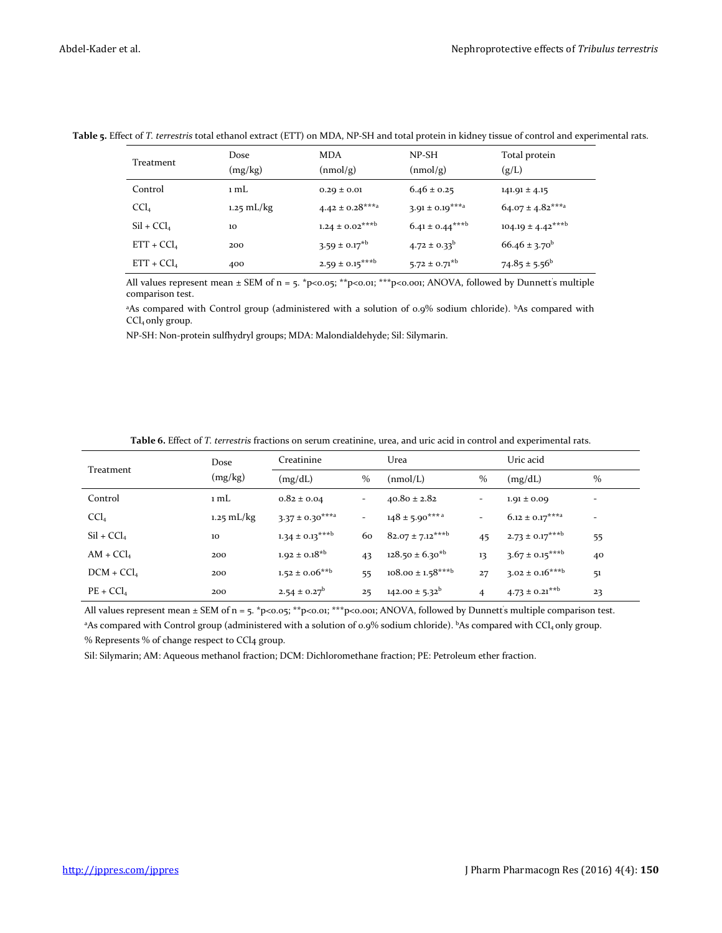| Treatment        | Dose         | <b>MDA</b>             | $NP-SH$                     | Total protein          |
|------------------|--------------|------------------------|-----------------------------|------------------------|
|                  | (mg/kg)      | (nmol/g)               | (nmol/g)                    | (g/L)                  |
| Control          | 1 mL         | $0.29 \pm 0.01$        | $6.46 \pm 0.25$             | $141.91 \pm 4.15$      |
| CCl <sub>4</sub> | $1.25$ mL/kg | $4.42 \pm 0.28***$     | $3.91 \pm 0.19$ ***a        | $64.07 \pm 4.82***$    |
| $SiI + CCl4$     | 10           | $1.24 \pm 0.02$ ***b   | $6.41 \pm 0.44***$          | $104.19 \pm 4.42$ ***b |
| $ETT + CCl4$     | 200          | $3.59 \pm 0.17^{*b}$   | $4.72 \pm 0.33^b$           | $66.46 \pm 3.70^b$     |
| $ETT + CCl4$     | 400          | $2.59 \pm 0.15^{***b}$ | $5.72 \pm 0.71^{\text{kb}}$ | $74.85 \pm 5.56^b$     |

**Table 5.** Effect of *T. terrestris* total ethanol extract (ETT) on MDA, NP-SH and total protein in kidney tissue of control and experimental rats.

All values represent mean ± SEM of n = 5. \*p<0.05; \*\*p<0.01; \*\*\*p<0.001; ANOVA, followed by Dunnett' s multiple comparison test.

<sup>a</sup>As compared with Control group (administered with a solution of 0.9% sodium chloride). <sup>b</sup>As compared with  $CCl<sub>4</sub> only group.$ 

NP-SH: Non-protein sulfhydryl groups; MDA: Malondialdehyde; Sil: Silymarin.

**Table 6.** Effect of *T. terrestris* fractions on serum creatinine, urea, and uric acid in control and experimental rats.

| Treatment        | Dose                 | Creatinine           |                          | Urea                             |                          | Uric acid              |                          |
|------------------|----------------------|----------------------|--------------------------|----------------------------------|--------------------------|------------------------|--------------------------|
|                  | (mg/kg)              | (mg/dL)              | $\frac{0}{0}$            | (nmol/L)                         | $\frac{0}{0}$            | (mg/dL)                | $\%$                     |
| Control          | 1 mL                 | $0.82 \pm 0.04$      | $\overline{\phantom{a}}$ | $40.80 \pm 2.82$                 | $\overline{\phantom{a}}$ | $1.91 \pm 0.09$        |                          |
| CCl <sub>4</sub> | $1.25 \text{ mL/kg}$ | $3.37 \pm 0.30***$   | $\overline{\phantom{a}}$ | $148 \pm 5.90***$ <sup>***</sup> | $\overline{\phantom{a}}$ | $6.12 \pm 0.17$ ***a   | $\overline{\phantom{a}}$ |
| $SiI + CCl4$     | 10                   | $1.34 \pm 0.13***$   | 60                       | $82.07 \pm 7.12***$              | 45                       | $2.73 \pm 0.17***$     | 55                       |
| $AM + CCl4$      | 200                  | $1.92 \pm 0.18^{*b}$ | 43                       | $128.50 \pm 6.30^{*b}$           | 13                       | $3.67 \pm 0.15***$     | 40                       |
| $DCM + CCl4$     | 200                  | $1.52 \pm 0.06***$   | 55                       | $108.00 \pm 1.58***$             | 27                       | $3.02 \pm 0.16***$     | 51                       |
| $PE + CCl4$      | 200                  | $2.54 \pm 0.27^b$    | 25                       | $142.00 \pm 5.32^b$              | $\overline{4}$           | $4.73 \pm 0.21^{***b}$ | 23                       |

All values represent mean ± SEM of n = 5. \*p<0.05; \*\*p<0.01; \*\*\*p<0.001; ANOVA, followed by Dunnett' s multiple comparison test. <sup>a</sup>As compared with Control group (administered with a solution of 0.9% sodium chloride). <sup>b</sup>As compared with CCl<sub>4</sub> only group.

% Represents % of change respect to CCl4 group.

Sil: Silymarin; AM: Aqueous methanol fraction; DCM: Dichloromethane fraction; PE: Petroleum ether fraction.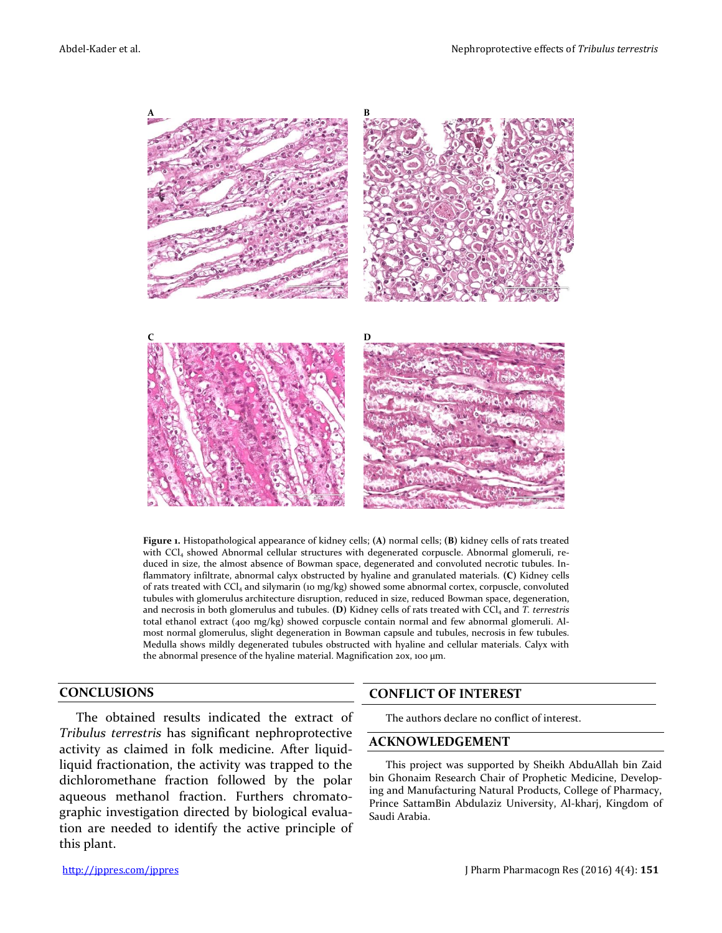

**Figure 1.** Histopathological appearance of kidney cells; **(A)** normal cells; **(B)** kidney cells of rats treated with CCl<sub>4</sub> showed Abnormal cellular structures with degenerated corpuscle. Abnormal glomeruli, reduced in size, the almost absence of Bowman space, degenerated and convoluted necrotic tubules. Inflammatory infiltrate, abnormal calyx obstructed by hyaline and granulated materials. **(C)** Kidney cells of rats treated with CCl<sub>4</sub> and silymarin (10 mg/kg) showed some abnormal cortex, corpuscle, convoluted tubules with glomerulus architecture disruption, reduced in size, reduced Bowman space, degeneration, and necrosis in both glomerulus and tubules. **(D)** Kidney cells of rats treated with CCl<sub>4</sub> and *T. terrestris* total ethanol extract (400 mg/kg) showed corpuscle contain normal and few abnormal glomeruli. Almost normal glomerulus, slight degeneration in Bowman capsule and tubules, necrosis in few tubules. Medulla shows mildly degenerated tubules obstructed with hyaline and cellular materials. Calyx with the abnormal presence of the hyaline material. Magnification 20x, 100 µm.

#### **CONCLUSIONS**

The obtained results indicated the extract of *Tribulus terrestris* has significant nephroprotective activity as claimed in folk medicine. After liquidliquid fractionation, the activity was trapped to the dichloromethane fraction followed by the polar aqueous methanol fraction. Furthers chromatographic investigation directed by biological evaluation are needed to identify the active principle of this plant.

#### **CONFLICT OF INTEREST**

The authors declare no conflict of interest.

#### **ACKNOWLEDGEMENT**

This project was supported by Sheikh AbduAllah bin Zaid bin Ghonaim Research Chair of Prophetic Medicine, Developing and Manufacturing Natural Products, College of Pharmacy, Prince SattamBin Abdulaziz University, Al-kharj, Kingdom of Saudi Arabia.